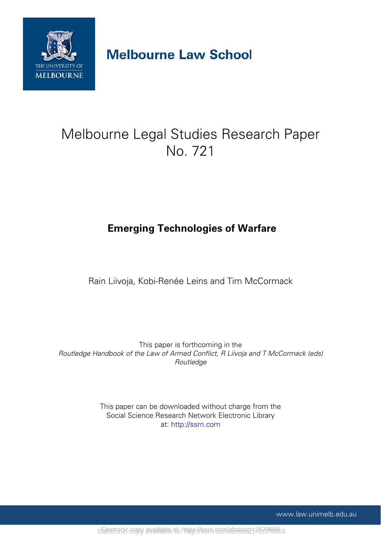

# **Melbourne Law School**

# Melbourne Legal Studies Research Paper No. 721

# **Emerging Technologies of Warfare**

Rain Liivoja, Kobi-Renée Leins and Tim McCormack

This paper is forthcoming in the *Routledge Handbook of the Law of Armed Conflict, R Liivoja and T McCormack (eds) Routledge*

> This paper can be downloaded without charge from the Social Science Research Network Electronic Library at: http://ssrn.com

> > www.law.unimelb.edu.au

EFLectronic copy available at: https://ssrn.com/abstract=22696689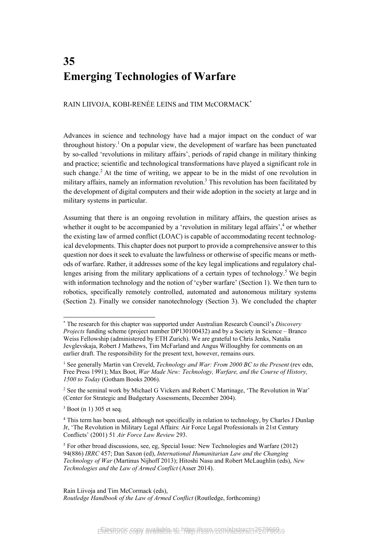# **35 Emerging Technologies of Warfare**

RAIN LIIVOJA, KOBI-RENÉE LEINS and TIM McCORMACK\*

Advances in science and technology have had a major impact on the conduct of war throughout history.<sup>1</sup> On a popular view, the development of warfare has been punctuated by so-called 'revolutions in military affairs', periods of rapid change in military thinking and practice; scientific and technological transformations have played a significant role in such change.<sup>2</sup> At the time of writing, we appear to be in the midst of one revolution in military affairs, namely an information revolution.<sup>3</sup> This revolution has been facilitated by the development of digital computers and their wide adoption in the society at large and in military systems in particular.

Assuming that there is an ongoing revolution in military affairs, the question arises as whether it ought to be accompanied by a 'revolution in military legal affairs',<sup>4</sup> or whether the existing law of armed conflict (LOAC) is capable of accommodating recent technological developments. This chapter does not purport to provide a comprehensive answer to this question nor does it seek to evaluate the lawfulness or otherwise of specific means or methods of warfare. Rather, it addresses some of the key legal implications and regulatory challenges arising from the military applications of a certain types of technology.<sup>5</sup> We begin with information technology and the notion of 'cyber warfare' (Section 1). We then turn to robotics, specifically remotely controlled, automated and autonomous military systems (Section 2). Finally we consider nanotechnology (Section 3). We concluded the chapter

 $3$  Boot (n 1) 305 et seq.

l

Rain Liivoja and Tim McCormack (eds), *Routledge Handbook of the Law of Armed Conflict* (Routledge, forthcoming)

<sup>\*</sup> The research for this chapter was supported under Australian Research Council's *Discovery Projects* funding scheme (project number DP130100432) and by a Society in Science – Branco Weiss Fellowship (administered by ETH Zurich). We are grateful to Chris Jenks, Natalia Jevglevskaja, Robert J Mathews, Tim McFarland and Angus Willoughby for comments on an earlier draft. The responsibility for the present text, however, remains ours.

<sup>&</sup>lt;sup>1</sup> See generally Martin van Creveld, *Technology and War: From 2000 BC to the Present* (rev edn, Free Press 1991); Max Boot, *War Made New: Technology, Warfare, and the Course of History, 1500 to Today* (Gotham Books 2006).

<sup>&</sup>lt;sup>2</sup> See the seminal work by Michael G Vickers and Robert C Martinage, 'The Revolution in War' (Center for Strategic and Budgetary Assessments, December 2004).

<sup>&</sup>lt;sup>4</sup> This term has been used, although not specifically in relation to technology, by Charles J Dunlap Jr, 'The Revolution in Military Legal Affairs: Air Force Legal Professionals in 21st Century Conflicts' (2001) 51 *Air Force Law Review* 293.

<sup>&</sup>lt;sup>5</sup> For other broad discussions, see, eg, Special Issue: New Technologies and Warfare (2012) 94(886) *IRRC* 457; Dan Saxon (ed), *International Humanitarian Law and the Changing Technology of War* (Martinus Nijhoff 2013); Hitoshi Nasu and Robert McLaughlin (eds), *New Technologies and the Law of Armed Conflict* (Asser 2014).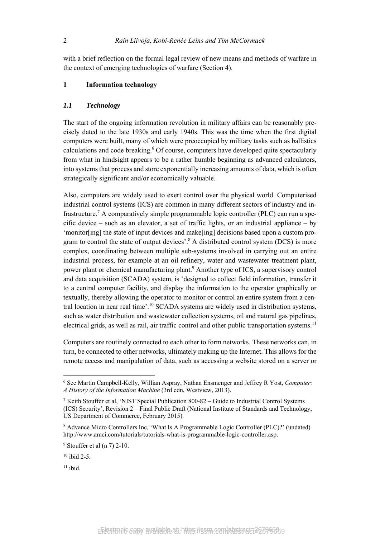with a brief reflection on the formal legal review of new means and methods of warfare in the context of emerging technologies of warfare (Section 4).

### **1 Information technology**

### *1.1 Technology*

The start of the ongoing information revolution in military affairs can be reasonably precisely dated to the late 1930s and early 1940s. This was the time when the first digital computers were built, many of which were preoccupied by military tasks such as ballistics calculations and code breaking.<sup>6</sup> Of course, computers have developed quite spectacularly from what in hindsight appears to be a rather humble beginning as advanced calculators, into systems that process and store exponentially increasing amounts of data, which is often strategically significant and/or economically valuable.

Also, computers are widely used to exert control over the physical world. Computerised industrial control systems (ICS) are common in many different sectors of industry and infrastructure.<sup>7</sup> A comparatively simple programmable logic controller (PLC) can run a specific device – such as an elevator, a set of traffic lights, or an industrial appliance – by 'monitor[ing] the state of input devices and make[ing] decisions based upon a custom program to control the state of output devices'.<sup>8</sup> A distributed control system (DCS) is more complex, coordinating between multiple sub-systems involved in carrying out an entire industrial process, for example at an oil refinery, water and wastewater treatment plant, power plant or chemical manufacturing plant.<sup>9</sup> Another type of ICS, a supervisory control and data acquisition (SCADA) system, is 'designed to collect field information, transfer it to a central computer facility, and display the information to the operator graphically or textually, thereby allowing the operator to monitor or control an entire system from a central location in near real time'.<sup>10</sup> SCADA systems are widely used in distribution systems, such as water distribution and wastewater collection systems, oil and natural gas pipelines, electrical grids, as well as rail, air traffic control and other public transportation systems.<sup>11</sup>

Computers are routinely connected to each other to form networks. These networks can, in turn, be connected to other networks, ultimately making up the Internet. This allows for the remote access and manipulation of data, such as accessing a website stored on a server or

<sup>6</sup> See Martin Campbell-Kelly, Willian Aspray, Nathan Ensmenger and Jeffrey R Yost, *Computer: A History of the Information Machine* (3rd edn, Westview, 2013).

<sup>&</sup>lt;sup>7</sup> Keith Stouffer et al, 'NIST Special Publication 800-82 – Guide to Industrial Control Systems (ICS) Security', Revision 2 – Final Public Draft (National Institute of Standards and Technology, US Department of Commerce, February 2015).

<sup>8</sup> Advance Micro Controllers Inc, 'What Is A Programmable Logic Controller (PLC)?' (undated) http://www.amci.com/tutorials/tutorials-what-is-programmable-logic-controller.asp.

 $9$  Stouffer et al (n 7) 2-10.

 $10$  ibid 2-5.

 $11$  ibid.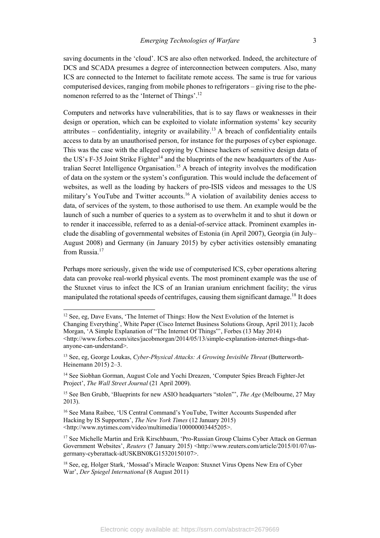saving documents in the 'cloud'. ICS are also often networked. Indeed, the architecture of DCS and SCADA presumes a degree of interconnection between computers. Also, many ICS are connected to the Internet to facilitate remote access. The same is true for various computerised devices, ranging from mobile phones to refrigerators – giving rise to the phenomenon referred to as the 'Internet of Things'.12

Computers and networks have vulnerabilities, that is to say flaws or weaknesses in their design or operation, which can be exploited to violate information systems' key security attributes – confidentiality, integrity or availability.<sup>13</sup> A breach of confidentiality entails access to data by an unauthorised person, for instance for the purposes of cyber espionage. This was the case with the alleged copying by Chinese hackers of sensitive design data of the US's F-35 Joint Strike Fighter<sup>14</sup> and the blueprints of the new headquarters of the Australian Secret Intelligence Organisation.<sup>15</sup> A breach of integrity involves the modification of data on the system or the system's configuration. This would include the defacement of websites, as well as the loading by hackers of pro-ISIS videos and messages to the US military's YouTube and Twitter accounts.<sup>16</sup> A violation of availability denies access to data, of services of the system, to those authorised to use them. An example would be the launch of such a number of queries to a system as to overwhelm it and to shut it down or to render it inaccessible, referred to as a denial-of-service attack. Prominent examples include the disabling of governmental websites of Estonia (in April 2007), Georgia (in July– August 2008) and Germany (in January 2015) by cyber activities ostensibly emanating from Russia.<sup>17</sup>

Perhaps more seriously, given the wide use of computerised ICS, cyber operations altering data can provoke real-world physical events. The most prominent example was the use of the Stuxnet virus to infect the ICS of an Iranian uranium enrichment facility; the virus manipulated the rotational speeds of centrifuges, causing them significant damage.<sup>18</sup> It does

<sup>&</sup>lt;sup>12</sup> See, eg, Dave Evans, 'The Internet of Things: How the Next Evolution of the Internet is Changing Everything', White Paper (Cisco Internet Business Solutions Group, April 2011); Jacob Morgan, 'A Simple Explanation of "The Internet Of Things"', Forbes (13 May 2014) <http://www.forbes.com/sites/jacobmorgan/2014/05/13/simple-explanation-internet-things-thatanyone-can-understand>.

<sup>13</sup> See, eg, George Loukas, *Cyber-Physical Attacks: A Growing Invisible Threat* (Butterworth-Heinemann 2015) 2–3.

<sup>&</sup>lt;sup>14</sup> See Siobhan Gorman, August Cole and Yochi Dreazen, 'Computer Spies Breach Fighter-Jet Project', *The Wall Street Journal* (21 April 2009).

<sup>15</sup> See Ben Grubb, 'Blueprints for new ASIO headquarters "stolen"', *The Age* (Melbourne, 27 May 2013).

<sup>16</sup> See Mana Raibee, 'US Central Command's YouTube, Twitter Accounts Suspended after Hacking by IS Supporters', *The New York Times* (12 January 2015) <http://www.nytimes.com/video/multimedia/100000003445205>.

<sup>&</sup>lt;sup>17</sup> See Michelle Martin and Erik Kirschbaum, 'Pro-Russian Group Claims Cyber Attack on German Government Websites', *Reuters* (7 January 2015) <http://www.reuters.com/article/2015/01/07/usgermany-cyberattack-idUSKBN0KG15320150107>.

<sup>18</sup> See, eg, Holger Stark, 'Mossad's Miracle Weapon: Stuxnet Virus Opens New Era of Cyber War', *Der Spiegel International* (8 August 2011)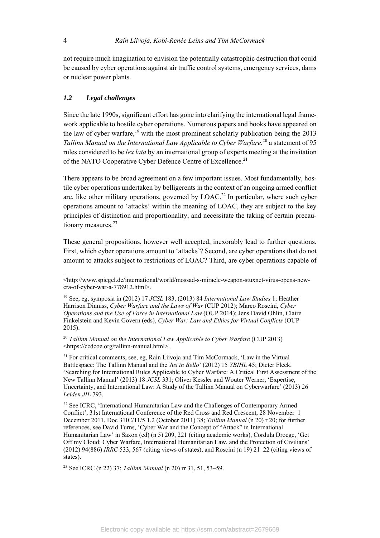not require much imagination to envision the potentially catastrophic destruction that could be caused by cyber operations against air traffic control systems, emergency services, dams or nuclear power plants.

## *1.2 Legal challenges*

Since the late 1990s, significant effort has gone into clarifying the international legal framework applicable to hostile cyber operations. Numerous papers and books have appeared on the law of cyber warfare,  $19$  with the most prominent scholarly publication being the 2013 Tallinn Manual on the International Law Applicable to Cyber Warfare,<sup>20</sup> a statement of 95 rules considered to be *lex lata* by an international group of experts meeting at the invitation of the NATO Cooperative Cyber Defence Centre of Excellence.<sup>21</sup>

There appears to be broad agreement on a few important issues. Most fundamentally, hostile cyber operations undertaken by belligerents in the context of an ongoing armed conflict are, like other military operations, governed by  $LOAC<sup>22</sup>$  In particular, where such cyber operations amount to 'attacks' within the meaning of LOAC, they are subject to the key principles of distinction and proportionality, and necessitate the taking of certain precautionary measures.<sup>23</sup>

These general propositions, however well accepted, inexorably lead to further questions. First, which cyber operations amount to 'attacks'? Second, are cyber operations that do not amount to attacks subject to restrictions of LOAC? Third, are cyber operations capable of

<sup>20</sup> Tallinn Manual on the International Law Applicable to Cyber Warfare (CUP 2013) <https://ccdcoe.org/tallinn-manual.html>.

 $21$  For critical comments, see, eg, Rain Liivoja and Tim McCormack, 'Law in the Virtual Battlespace: The Tallinn Manual and the *Jus in Bello*' (2012) 15 *YBIHL* 45; Dieter Fleck, 'Searching for International Rules Applicable to Cyber Warfare: A Critical First Assessment of the New Tallinn Manual' (2013) 18 *JCSL* 331; Oliver Kessler and Wouter Werner, 'Expertise, Uncertainty, and International Law: A Study of the Tallinn Manual on Cyberwarfare' (2013) 26 *Leiden JIL* 793.

<sup>22</sup> See ICRC, 'International Humanitarian Law and the Challenges of Contemporary Armed Conflict', 31st International Conference of the Red Cross and Red Crescent, 28 November–1 December 2011, Doc 31IC/11/5.1.2 (October 2011) 38; *Tallinn Manual* (n 20) r 20; for further references, see David Turns, 'Cyber War and the Concept of "Attack" in International Humanitarian Law' in Saxon (ed) (n 5) 209, 221 (citing academic works), Cordula Droege, 'Get Off my Cloud: Cyber Warfare, International Humanitarian Law, and the Protection of Civilians' (2012) 94(886) *IRRC* 533, 567 (citing views of states), and Roscini (n 19) 21–22 (citing views of states).

23 See ICRC (n 22) 37; *Tallinn Manual* (n 20) rr 31, 51, 53–59.

 $\overline{\phantom{a}}$ 

<sup>&</sup>lt;http://www.spiegel.de/international/world/mossad-s-miracle-weapon-stuxnet-virus-opens-newera-of-cyber-war-a-778912.html>.

<sup>19</sup> See, eg, symposia in (2012) 17 *JCSL* 183, (2013) 84 *International Law Studies* 1; Heather Harrison Dinniss, *Cyber Warfare and the Laws of War* (CUP 2012); Marco Roscini, *Cyber Operations and the Use of Force in International Law* (OUP 2014); Jens David Ohlin, Claire Finkelstein and Kevin Govern (eds), *Cyber War: Law and Ethics for Virtual Conflicts* (OUP 2015).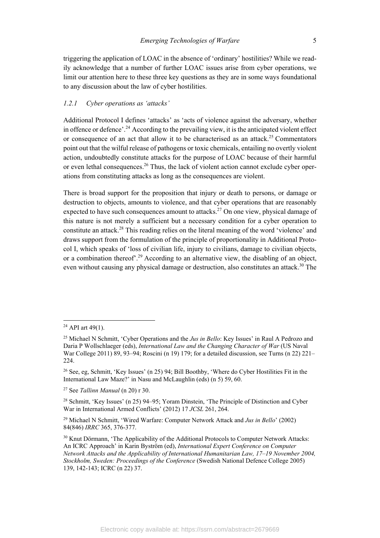triggering the application of LOAC in the absence of 'ordinary' hostilities? While we readily acknowledge that a number of further LOAC issues arise from cyber operations, we limit our attention here to these three key questions as they are in some ways foundational to any discussion about the law of cyber hostilities.

# *1.2.1 Cyber operations as 'attacks'*

Additional Protocol I defines 'attacks' as 'acts of violence against the adversary, whether in offence or defence'.24 According to the prevailing view, it is the anticipated violent effect or consequence of an act that allow it to be characterised as an attack.<sup>25</sup> Commentators point out that the wilful release of pathogens or toxic chemicals, entailing no overtly violent action, undoubtedly constitute attacks for the purpose of LOAC because of their harmful or even lethal consequences.<sup>26</sup> Thus, the lack of violent action cannot exclude cyber operations from constituting attacks as long as the consequences are violent.

There is broad support for the proposition that injury or death to persons, or damage or destruction to objects, amounts to violence, and that cyber operations that are reasonably expected to have such consequences amount to attacks.<sup>27</sup> On one view, physical damage of this nature is not merely a sufficient but a necessary condition for a cyber operation to constitute an attack.28 This reading relies on the literal meaning of the word 'violence' and draws support from the formulation of the principle of proportionality in Additional Protocol I, which speaks of 'loss of civilian life, injury to civilians, damage to civilian objects, or a combination thereof<sup>'.29</sup> According to an alternative view, the disabling of an object, even without causing any physical damage or destruction, also constitutes an attack.<sup>30</sup> The

 $24$  API art 49(1).

<sup>25</sup> Michael N Schmitt, 'Cyber Operations and the *Jus in Bello*: Key Issues' in Raul A Pedrozo and Daria P Wollschlaeger (eds), *International Law and the Changing Character of War* (US Naval War College 2011) 89, 93–94; Roscini (n 19) 179; for a detailed discussion, see Turns (n 22) 221– 224.

<sup>26</sup> See, eg, Schmitt, 'Key Issues' (n 25) 94; Bill Boothby, 'Where do Cyber Hostilities Fit in the International Law Maze?' in Nasu and McLaughlin (eds) (n 5) 59, 60.

<sup>27</sup> See *Tallinn Manual* (n 20) r 30.

<sup>&</sup>lt;sup>28</sup> Schmitt, 'Key Issues' (n 25) 94–95; Yoram Dinstein, 'The Principle of Distinction and Cyber War in International Armed Conflicts' (2012) 17 *JCSL* 261, 264.

<sup>29</sup> Michael N Schmitt, 'Wired Warfare: Computer Network Attack and *Jus in Bello*' (2002) 84(846) *IRRC* 365, 376-377.

<sup>&</sup>lt;sup>30</sup> Knut Dörmann, 'The Applicability of the Additional Protocols to Computer Network Attacks: An ICRC Approach' in Karin Byström (ed), *International Expert Conference on Computer Network Attacks and the Applicability of International Humanitarian Law, 17–19 November 2004, Stockholm, Sweden: Proceedings of the Conference* (Swedish National Defence College 2005) 139, 142-143; ICRC (n 22) 37.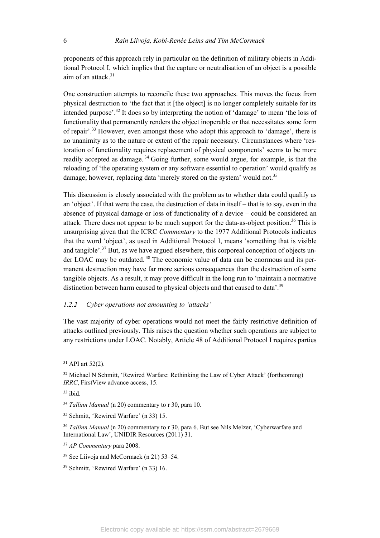proponents of this approach rely in particular on the definition of military objects in Additional Protocol I, which implies that the capture or neutralisation of an object is a possible aim of an attack. $31$ 

One construction attempts to reconcile these two approaches. This moves the focus from physical destruction to 'the fact that it [the object] is no longer completely suitable for its intended purpose'.32 It does so by interpreting the notion of 'damage' to mean 'the loss of functionality that permanently renders the object inoperable or that necessitates some form of repair'.33 However, even amongst those who adopt this approach to 'damage', there is no unanimity as to the nature or extent of the repair necessary. Circumstances where 'restoration of functionality requires replacement of physical components' seems to be more readily accepted as damage.<sup>34</sup> Going further, some would argue, for example, is that the reloading of 'the operating system or any software essential to operation' would qualify as damage; however, replacing data 'merely stored on the system' would not.<sup>35</sup>

This discussion is closely associated with the problem as to whether data could qualify as an 'object'. If that were the case, the destruction of data in itself – that is to say, even in the absence of physical damage or loss of functionality of a device – could be considered an attack. There does not appear to be much support for the data-as-object position.<sup>36</sup> This is unsurprising given that the ICRC *Commentary* to the 1977 Additional Protocols indicates that the word 'object', as used in Additional Protocol I, means 'something that is visible and tangible'.<sup>37</sup> But, as we have argued elsewhere, this corporeal conception of objects under LOAC may be outdated.<sup>38</sup> The economic value of data can be enormous and its permanent destruction may have far more serious consequences than the destruction of some tangible objects. As a result, it may prove difficult in the long run to 'maintain a normative distinction between harm caused to physical objects and that caused to data'.<sup>39</sup>

# *1.2.2 Cyber operations not amounting to 'attacks'*

The vast majority of cyber operations would not meet the fairly restrictive definition of attacks outlined previously. This raises the question whether such operations are subject to any restrictions under LOAC. Notably, Article 48 of Additional Protocol I requires parties

 $31$  API art 52(2).

<sup>&</sup>lt;sup>32</sup> Michael N Schmitt, 'Rewired Warfare: Rethinking the Law of Cyber Attack' (forthcoming) *IRRC*, FirstView advance access, 15.

<sup>33</sup> ibid.

<sup>34</sup> *Tallinn Manual* (n 20) commentary to r 30, para 10.

<sup>35</sup> Schmitt, 'Rewired Warfare' (n 33) 15.

<sup>36</sup> *Tallinn Manual* (n 20) commentary to r 30, para 6. But see Nils Melzer, 'Cyberwarfare and International Law', UNIDIR Resources (2011) 31.

<sup>37</sup> *AP Commentary* para 2008.

<sup>38</sup> See Liivoja and McCormack (n 21) 53–54.

<sup>39</sup> Schmitt, 'Rewired Warfare' (n 33) 16.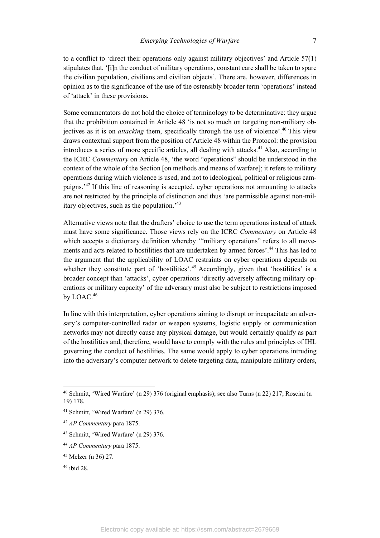to a conflict to 'direct their operations only against military objectives' and Article 57(1) stipulates that, '[i]n the conduct of military operations, constant care shall be taken to spare the civilian population, civilians and civilian objects'. There are, however, differences in opinion as to the significance of the use of the ostensibly broader term 'operations' instead of 'attack' in these provisions.

Some commentators do not hold the choice of terminology to be determinative: they argue that the prohibition contained in Article 48 'is not so much on targeting non-military objectives as it is on *attacking* them, specifically through the use of violence'.40 This view draws contextual support from the position of Article 48 within the Protocol: the provision introduces a series of more specific articles, all dealing with attacks.<sup>41</sup> Also, according to the ICRC *Commentary* on Article 48, 'the word "operations" should be understood in the context of the whole of the Section [on methods and means of warfare]; it refers to military operations during which violence is used, and not to ideological, political or religious campaigns.'42 If this line of reasoning is accepted, cyber operations not amounting to attacks are not restricted by the principle of distinction and thus 'are permissible against non-military objectives, such as the population.'43

Alternative views note that the drafters' choice to use the term operations instead of attack must have some significance. Those views rely on the ICRC *Commentary* on Article 48 which accepts a dictionary definition whereby "military operations" refers to all movements and acts related to hostilities that are undertaken by armed forces'.<sup>44</sup> This has led to the argument that the applicability of LOAC restraints on cyber operations depends on whether they constitute part of 'hostilities'.<sup>45</sup> Accordingly, given that 'hostilities' is a broader concept than 'attacks', cyber operations 'directly adversely affecting military operations or military capacity' of the adversary must also be subject to restrictions imposed by LOAC.<sup>46</sup>

In line with this interpretation, cyber operations aiming to disrupt or incapacitate an adversary's computer-controlled radar or weapon systems, logistic supply or communication networks may not directly cause any physical damage, but would certainly qualify as part of the hostilities and, therefore, would have to comply with the rules and principles of IHL governing the conduct of hostilities. The same would apply to cyber operations intruding into the adversary's computer network to delete targeting data, manipulate military orders,

<sup>40</sup> Schmitt, 'Wired Warfare' (n 29) 376 (original emphasis); see also Turns (n 22) 217; Roscini (n 19) 178.

<sup>41</sup> Schmitt, 'Wired Warfare' (n 29) 376.

<sup>42</sup> *AP Commentary* para 1875.

<sup>43</sup> Schmitt, 'Wired Warfare' (n 29) 376.

<sup>44</sup> *AP Commentary* para 1875.

<sup>45</sup> Melzer (n 36) 27.

<sup>46</sup> ibid 28.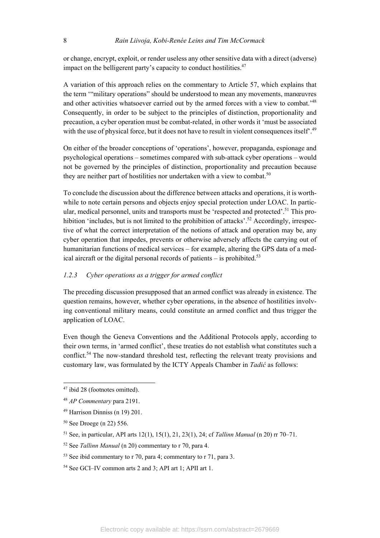or change, encrypt, exploit, or render useless any other sensitive data with a direct (adverse) impact on the belligerent party's capacity to conduct hostilities. $47$ 

A variation of this approach relies on the commentary to Article 57, which explains that the term '"military operations" should be understood to mean any movements, manœuvres and other activities whatsoever carried out by the armed forces with a view to combat.<sup>148</sup> Consequently, in order to be subject to the principles of distinction, proportionality and precaution, a cyber operation must be combat-related, in other words it 'must be associated with the use of physical force, but it does not have to result in violent consequences itself.<sup>49</sup>

On either of the broader conceptions of 'operations', however, propaganda, espionage and psychological operations – sometimes compared with sub-attack cyber operations – would not be governed by the principles of distinction, proportionality and precaution because they are neither part of hostilities nor undertaken with a view to combat.<sup>50</sup>

To conclude the discussion about the difference between attacks and operations, it is worthwhile to note certain persons and objects enjoy special protection under LOAC. In particular, medical personnel, units and transports must be 'respected and protected'.<sup>51</sup> This prohibition 'includes, but is not limited to the prohibition of attacks'.<sup>52</sup> Accordingly, irrespective of what the correct interpretation of the notions of attack and operation may be, any cyber operation that impedes, prevents or otherwise adversely affects the carrying out of humanitarian functions of medical services – for example, altering the GPS data of a medical aircraft or the digital personal records of patients  $-$  is prohibited.<sup>53</sup>

## *1.2.3 Cyber operations as a trigger for armed conflict*

The preceding discussion presupposed that an armed conflict was already in existence. The question remains, however, whether cyber operations, in the absence of hostilities involving conventional military means, could constitute an armed conflict and thus trigger the application of LOAC.

Even though the Geneva Conventions and the Additional Protocols apply, according to their own terms, in 'armed conflict', these treaties do not establish what constitutes such a conflict.<sup>54</sup> The now-standard threshold test, reflecting the relevant treaty provisions and customary law, was formulated by the ICTY Appeals Chamber in *Tadić* as follows:

 $47$  ibid 28 (footnotes omitted).

<sup>48</sup> *AP Commentary* para 2191.

<sup>49</sup> Harrison Dinniss (n 19) 201.

<sup>50</sup> See Droege (n 22) 556.

<sup>51</sup> See, in particular, API arts 12(1), 15(1), 21, 23(1), 24; cf *Tallinn Manual* (n 20) rr 70–71.

<sup>52</sup> See *Tallinn Manual* (n 20) commentary to r 70, para 4.

<sup>53</sup> See ibid commentary to r 70, para 4; commentary to r 71, para 3.

<sup>54</sup> See GCI–IV common arts 2 and 3; API art 1; APII art 1.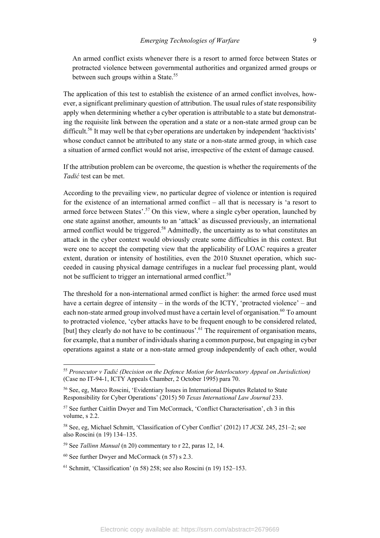An armed conflict exists whenever there is a resort to armed force between States or protracted violence between governmental authorities and organized armed groups or between such groups within a State.<sup>55</sup>

The application of this test to establish the existence of an armed conflict involves, however, a significant preliminary question of attribution. The usual rules of state responsibility apply when determining whether a cyber operation is attributable to a state but demonstrating the requisite link between the operation and a state or a non-state armed group can be difficult.<sup>56</sup> It may well be that cyber operations are undertaken by independent 'hacktivists' whose conduct cannot be attributed to any state or a non-state armed group, in which case a situation of armed conflict would not arise, irrespective of the extent of damage caused.

If the attribution problem can be overcome, the question is whether the requirements of the *Tadić* test can be met.

According to the prevailing view, no particular degree of violence or intention is required for the existence of an international armed conflict – all that is necessary is 'a resort to armed force between States'.<sup>57</sup> On this view, where a single cyber operation, launched by one state against another, amounts to an 'attack' as discussed previously, an international armed conflict would be triggered.<sup>58</sup> Admittedly, the uncertainty as to what constitutes an attack in the cyber context would obviously create some difficulties in this context. But were one to accept the competing view that the applicability of LOAC requires a greater extent, duration or intensity of hostilities, even the 2010 Stuxnet operation, which succeeded in causing physical damage centrifuges in a nuclear fuel processing plant, would not be sufficient to trigger an international armed conflict.<sup>59</sup>

The threshold for a non-international armed conflict is higher: the armed force used must have a certain degree of intensity – in the words of the ICTY, 'protracted violence' – and each non-state armed group involved must have a certain level of organisation.<sup>60</sup> To amount to protracted violence, 'cyber attacks have to be frequent enough to be considered related, [but] they clearly do not have to be continuous'.<sup>61</sup> The requirement of organisation means, for example, that a number of individuals sharing a common purpose, but engaging in cyber operations against a state or a non-state armed group independently of each other, would

<sup>55</sup> *Prosecutor v Tadić (Decision on the Defence Motion for Interlocutory Appeal on Jurisdiction)*  (Case no IT-94-1, ICTY Appeals Chamber, 2 October 1995) para 70.

<sup>56</sup> See, eg, Marco Roscini, 'Evidentiary Issues in International Disputes Related to State Responsibility for Cyber Operations' (2015) 50 *Texas International Law Journal* 233.

<sup>57</sup> See further Caitlin Dwyer and Tim McCormack, 'Conflict Characterisation', ch 3 in this volume, s 2.2.

<sup>58</sup> See, eg, Michael Schmitt, 'Classification of Cyber Conflict' (2012) 17 *JCSL* 245, 251–2; see also Roscini (n 19) 134–135.

<sup>59</sup> See *Tallinn Manual* (n 20) commentary to r 22, paras 12, 14.

<sup>60</sup> See further Dwyer and McCormack (n 57) s 2.3.

 $61$  Schmitt, 'Classification' (n 58) 258; see also Roscini (n 19) 152–153.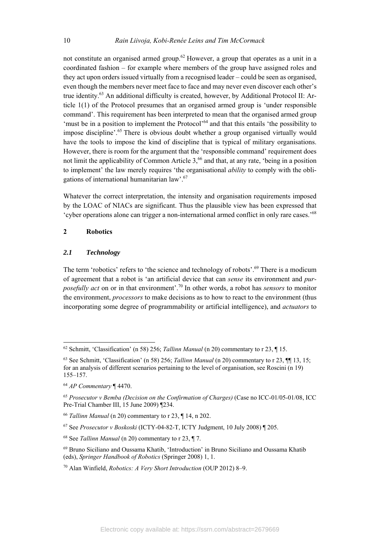not constitute an organised armed group.<sup>62</sup> However, a group that operates as a unit in a coordinated fashion – for example where members of the group have assigned roles and they act upon orders issued virtually from a recognised leader – could be seen as organised, even though the members never meet face to face and may never even discover each other's true identity.<sup>63</sup> An additional difficulty is created, however, by Additional Protocol II: Article 1(1) of the Protocol presumes that an organised armed group is 'under responsible command'. This requirement has been interpreted to mean that the organised armed group 'must be in a position to implement the Protocol'64 and that this entails 'the possibility to impose discipline'.65 There is obvious doubt whether a group organised virtually would have the tools to impose the kind of discipline that is typical of military organisations. However, there is room for the argument that the 'responsible command' requirement does not limit the applicability of Common Article 3,<sup>66</sup> and that, at any rate, 'being in a position to implement' the law merely requires 'the organisational *ability* to comply with the obligations of international humanitarian law'.67

Whatever the correct interpretation, the intensity and organisation requirements imposed by the LOAC of NIACs are significant. Thus the plausible view has been expressed that 'cyber operations alone can trigger a non-international armed conflict in only rare cases.'68

#### **2 Robotics**

#### *2.1 Technology*

The term 'robotics' refers to 'the science and technology of robots'.<sup>69</sup> There is a modicum of agreement that a robot is 'an artificial device that can *sense* its environment and *purposefully act* on or in that environment'.70 In other words, a robot has *sensors* to monitor the environment, *processors* to make decisions as to how to react to the environment (thus incorporating some degree of programmability or artificial intelligence), and *actuators* to

<sup>62</sup> Schmitt, 'Classification' (n 58) 256; *Tallinn Manual* (n 20) commentary to r 23, ¶ 15.

<sup>63</sup> See Schmitt, 'Classification' (n 58) 256; *Tallinn Manual* (n 20) commentary to r 23, ¶¶ 13, 15; for an analysis of different scenarios pertaining to the level of organisation, see Roscini (n 19) 155–157.

<sup>64</sup> *AP Commentary* ¶ 4470.

<sup>65</sup> *Prosecutor v Bemba (Decision on the Confirmation of Charges)* (Case no ICC-01/05-01/08, ICC Pre-Trial Chamber III, 15 June 2009) ¶234.

<sup>66</sup> *Tallinn Manual* (n 20) commentary to r 23, ¶ 14, n 202.

<sup>67</sup> See *Prosecutor v Boskoski* (ICTY-04-82-T, ICTY Judgment, 10 July 2008) ¶ 205.

<sup>68</sup> See *Tallinn Manual* (n 20) commentary to r 23, ¶ 7.

<sup>69</sup> Bruno Siciliano and Oussama Khatib, 'Introduction' in Bruno Siciliano and Oussama Khatib (eds), *Springer Handbook of Robotics* (Springer 2008) 1, 1.

<sup>70</sup> Alan Winfield, *Robotics: A Very Short Introduction* (OUP 2012) 8–9.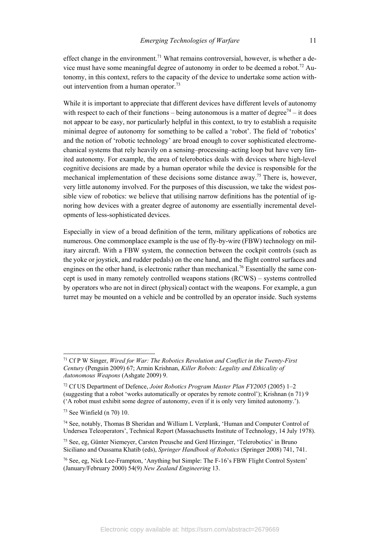effect change in the environment.<sup>71</sup> What remains controversial, however, is whether a device must have some meaningful degree of autonomy in order to be deemed a robot.<sup>72</sup> Autonomy, in this context, refers to the capacity of the device to undertake some action without intervention from a human operator.<sup>73</sup>

While it is important to appreciate that different devices have different levels of autonomy with respect to each of their functions – being autonomous is a matter of degree<sup> $74$ </sup> – it does not appear to be easy, nor particularly helpful in this context, to try to establish a requisite minimal degree of autonomy for something to be called a 'robot'. The field of 'robotics' and the notion of 'robotic technology' are broad enough to cover sophisticated electromechanical systems that rely heavily on a sensing–processing–acting loop but have very limited autonomy. For example, the area of telerobotics deals with devices where high-level cognitive decisions are made by a human operator while the device is responsible for the mechanical implementation of these decisions some distance away.<sup>75</sup> There is, however, very little autonomy involved. For the purposes of this discussion, we take the widest possible view of robotics: we believe that utilising narrow definitions has the potential of ignoring how devices with a greater degree of autonomy are essentially incremental developments of less-sophisticated devices.

Especially in view of a broad definition of the term, military applications of robotics are numerous. One commonplace example is the use of fly-by-wire (FBW) technology on military aircraft. With a FBW system, the connection between the cockpit controls (such as the yoke or joystick, and rudder pedals) on the one hand, and the flight control surfaces and engines on the other hand, is electronic rather than mechanical.<sup>76</sup> Essentially the same concept is used in many remotely controlled weapons stations (RCWS) – systems controlled by operators who are not in direct (physical) contact with the weapons. For example, a gun turret may be mounted on a vehicle and be controlled by an operator inside. Such systems

<sup>71</sup> Cf P W Singer, *Wired for War: The Robotics Revolution and Conflict in the Twenty-First Century* (Penguin 2009) 67; Armin Krishnan, *Killer Robots: Legality and Ethicality of Autonomous Weapons* (Ashgate 2009) 9.

<sup>72</sup> Cf US Department of Defence, *Joint Robotics Program Master Plan FY2005* (2005) 1–2 (suggesting that a robot 'works automatically or operates by remote control'); Krishnan (n 71) 9 ('A robot must exhibit some degree of autonomy, even if it is only very limited autonomy.').

<sup>73</sup> See Winfield (n 70) 10.

<sup>74</sup> See, notably, Thomas B Sheridan and William L Verplank, 'Human and Computer Control of Undersea Teleoperators', Technical Report (Massachusetts Institute of Technology, 14 July 1978).

<sup>75</sup> See, eg, Günter Niemeyer, Carsten Preusche and Gerd Hirzinger, 'Telerobotics' in Bruno Siciliano and Oussama Khatib (eds), *Springer Handbook of Robotics* (Springer 2008) 741, 741.

<sup>76</sup> See, eg, Nick Lee-Frampton, 'Anything but Simple: The F-16's FBW Flight Control System' (January/February 2000) 54(9) *New Zealand Engineering* 13.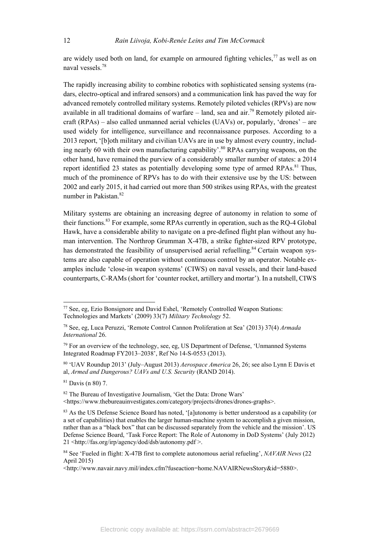are widely used both on land, for example on armoured fighting vehicles,  $\frac{7}{7}$  as well as on naval vessels.<sup>78</sup>

The rapidly increasing ability to combine robotics with sophisticated sensing systems (radars, electro-optical and infrared sensors) and a communication link has paved the way for advanced remotely controlled military systems. Remotely piloted vehicles (RPVs) are now available in all traditional domains of warfare – land, sea and air.<sup>79</sup> Remotely piloted aircraft (RPAs) – also called unmanned aerial vehicles (UAVs) or, popularly, 'drones' – are used widely for intelligence, surveillance and reconnaissance purposes. According to a 2013 report, '[b]oth military and civilian UAVs are in use by almost every country, including nearly 60 with their own manufacturing capability'.<sup>80</sup> RPAs carrying weapons, on the other hand, have remained the purview of a considerably smaller number of states: a 2014 report identified 23 states as potentially developing some type of armed RPAs.<sup>81</sup> Thus, much of the prominence of RPVs has to do with their extensive use by the US: between 2002 and early 2015, it had carried out more than 500 strikes using RPAs, with the greatest number in Pakistan.<sup>82</sup>

Military systems are obtaining an increasing degree of autonomy in relation to some of their functions.83 For example, some RPAs currently in operation, such as the RQ-4 Global Hawk, have a considerable ability to navigate on a pre-defined flight plan without any human intervention. The Northrop Grumman X-47B, a strike fighter-sized RPV prototype, has demonstrated the feasibility of unsupervised aerial refuelling.<sup>84</sup> Certain weapon systems are also capable of operation without continuous control by an operator. Notable examples include 'close-in weapon systems' (CIWS) on naval vessels, and their land-based counterparts, C-RAMs (short for 'counter rocket, artillery and mortar'). In a nutshell, CIWS

<sup>77</sup> See, eg, Ezio Bonsignore and David Eshel, 'Remotely Controlled Weapon Stations: Technologies and Markets' (2009) 33(7) *Military Technology* 52.

<sup>78</sup> See, eg, Luca Peruzzi, 'Remote Control Cannon Proliferation at Sea' (2013) 37(4) *Armada International* 26.

<sup>&</sup>lt;sup>79</sup> For an overview of the technology, see, eg, US Department of Defense, 'Unmanned Systems Integrated Roadmap FY2013–2038', Ref No 14-S-0553 (2013).

<sup>80 &#</sup>x27;UAV Roundup 2013' (July–August 2013) *Aerospace America* 26, 26; see also Lynn E Davis et al, *Armed and Dangerous? UAVs and U.S. Security* (RAND 2014).

<sup>81</sup> Davis (n 80) 7.

<sup>82</sup> The Bureau of Investigative Journalism, 'Get the Data: Drone Wars'

<sup>&</sup>lt;https://www.thebureauinvestigates.com/category/projects/drones/drones-graphs>.

<sup>83</sup> As the US Defense Science Board has noted, '[a]utonomy is better understood as a capability (or a set of capabilities) that enables the larger human-machine system to accomplish a given mission, rather than as a "black box" that can be discussed separately from the vehicle and the mission'. US Defense Science Board, 'Task Force Report: The Role of Autonomy in DoD Systems' (July 2012) 21 <http://fas.org/irp/agency/dod/dsb/autonomy.pdf >.

<sup>84</sup> See 'Fueled in flight: X-47B first to complete autonomous aerial refueling', *NAVAIR News* (22 April 2015)

<sup>&</sup>lt;http://www.navair.navy.mil/index.cfm?fuseaction=home.NAVAIRNewsStory&id=5880>.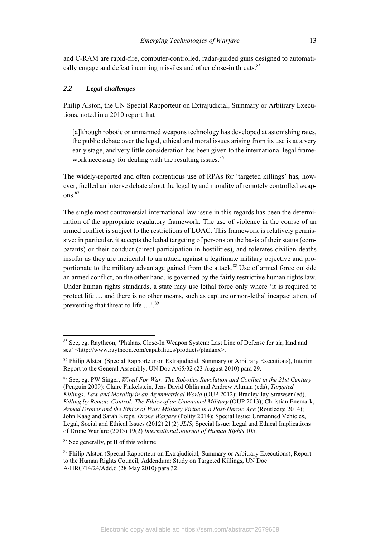and C-RAM are rapid-fire, computer-controlled, radar-guided guns designed to automatically engage and defeat incoming missiles and other close-in threats.<sup>85</sup>

## *2.2 Legal challenges*

Philip Alston, the UN Special Rapporteur on Extrajudicial, Summary or Arbitrary Executions, noted in a 2010 report that

[a]lthough robotic or unmanned weapons technology has developed at astonishing rates, the public debate over the legal, ethical and moral issues arising from its use is at a very early stage, and very little consideration has been given to the international legal framework necessary for dealing with the resulting issues.<sup>86</sup>

The widely-reported and often contentious use of RPAs for 'targeted killings' has, however, fuelled an intense debate about the legality and morality of remotely controlled weapons.87

The single most controversial international law issue in this regards has been the determination of the appropriate regulatory framework. The use of violence in the course of an armed conflict is subject to the restrictions of LOAC. This framework is relatively permissive: in particular, it accepts the lethal targeting of persons on the basis of their status (combatants) or their conduct (direct participation in hostilities), and tolerates civilian deaths insofar as they are incidental to an attack against a legitimate military objective and proportionate to the military advantage gained from the attack.<sup>88</sup> Use of armed force outside an armed conflict, on the other hand, is governed by the fairly restrictive human rights law. Under human rights standards, a state may use lethal force only where 'it is required to protect life … and there is no other means, such as capture or non-lethal incapacitation, of preventing that threat to life  $\ldots$ <sup>89</sup>

<sup>85</sup> See, eg, Raytheon, 'Phalanx Close-In Weapon System: Last Line of Defense for air, land and sea' <http://www.raytheon.com/capabilities/products/phalanx>.

<sup>86</sup> Philip Alston (Special Rapporteur on Extrajudicial, Summary or Arbitrary Executions), Interim Report to the General Assembly, UN Doc A/65/32 (23 August 2010) para 29.

<sup>87</sup> See, eg, PW Singer, *Wired For War: The Robotics Revolution and Conflict in the 21st Century* (Penguin 2009); Claire Finkelstein, Jens David Ohlin and Andrew Altman (eds), *Targeted Killings: Law and Morality in an Asymmetrical World* (OUP 2012); Bradley Jay Strawser (ed), *Killing by Remote Control: The Ethics of an Unmanned Military* (OUP 2013); Christian Enemark, *Armed Drones and the Ethics of War: Military Virtue in a Post-Heroic Age* (Routledge 2014); John Kaag and Sarah Kreps, *Drone Warfare* (Polity 2014); Special Issue: Unmanned Vehicles, Legal, Social and Ethical Issues (2012) 21(2) *JLIS*; Special Issue: Legal and Ethical Implications of Drone Warfare (2015) 19(2) *International Journal of Human Rights* 105.

<sup>88</sup> See generally, pt II of this volume.

<sup>89</sup> Philip Alston (Special Rapporteur on Extrajudicial, Summary or Arbitrary Executions), Report to the Human Rights Council, Addendum: Study on Targeted Killings, UN Doc A/HRC/14/24/Add.6 (28 May 2010) para 32.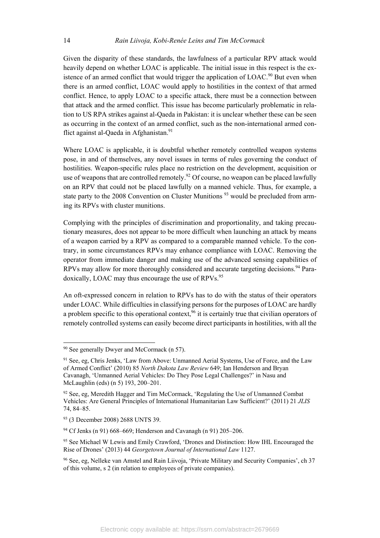Given the disparity of these standards, the lawfulness of a particular RPV attack would heavily depend on whether LOAC is applicable. The initial issue in this respect is the existence of an armed conflict that would trigger the application of  $LOAC<sup>90</sup>$  But even when there is an armed conflict, LOAC would apply to hostilities in the context of that armed conflict. Hence, to apply LOAC to a specific attack, there must be a connection between that attack and the armed conflict. This issue has become particularly problematic in relation to US RPA strikes against al-Qaeda in Pakistan: it is unclear whether these can be seen as occurring in the context of an armed conflict, such as the non-international armed conflict against al-Qaeda in Afghanistan.<sup>91</sup>

Where LOAC is applicable, it is doubtful whether remotely controlled weapon systems pose, in and of themselves, any novel issues in terms of rules governing the conduct of hostilities. Weapon-specific rules place no restriction on the development, acquisition or use of weapons that are controlled remotely.<sup>92</sup> Of course, no weapon can be placed lawfully on an RPV that could not be placed lawfully on a manned vehicle. Thus, for example, a state party to the 2008 Convention on Cluster Munitions  $93$  would be precluded from arming its RPVs with cluster munitions.

Complying with the principles of discrimination and proportionality, and taking precautionary measures, does not appear to be more difficult when launching an attack by means of a weapon carried by a RPV as compared to a comparable manned vehicle. To the contrary, in some circumstances RPVs may enhance compliance with LOAC. Removing the operator from immediate danger and making use of the advanced sensing capabilities of RPVs may allow for more thoroughly considered and accurate targeting decisions.<sup>94</sup> Paradoxically, LOAC may thus encourage the use of RPVs.<sup>95</sup>

An oft-expressed concern in relation to RPVs has to do with the status of their operators under LOAC. While difficulties in classifying persons for the purposes of LOAC are hardly a problem specific to this operational context,  $96$  it is certainly true that civilian operators of remotely controlled systems can easily become direct participants in hostilities, with all the

<sup>&</sup>lt;sup>90</sup> See generally Dwyer and McCormack (n 57).

<sup>&</sup>lt;sup>91</sup> See, eg, Chris Jenks, 'Law from Above: Unmanned Aerial Systems, Use of Force, and the Law of Armed Conflict' (2010) 85 *North Dakota Law Review* 649; Ian Henderson and Bryan Cavanagh, 'Unmanned Aerial Vehicles: Do They Pose Legal Challenges?' in Nasu and McLaughlin (eds) (n 5) 193, 200–201.

 $92$  See, eg, Meredith Hagger and Tim McCormack, 'Regulating the Use of Unmanned Combat Vehicles: Are General Principles of International Humanitarian Law Sufficient?' (2011) 21 *JLIS*  74, 84–85.

<sup>93 (3</sup> December 2008) 2688 UNTS 39.

<sup>94</sup> Cf Jenks (n 91) 668–669; Henderson and Cavanagh (n 91) 205–206.

<sup>&</sup>lt;sup>95</sup> See Michael W Lewis and Emily Crawford, 'Drones and Distinction: How IHL Encouraged the Rise of Drones' (2013) 44 *Georgetown Journal of International Law* 1127.

<sup>96</sup> See, eg, Nelleke van Amstel and Rain Liivoja, 'Private Military and Security Companies', ch 37 of this volume, s 2 (in relation to employees of private companies).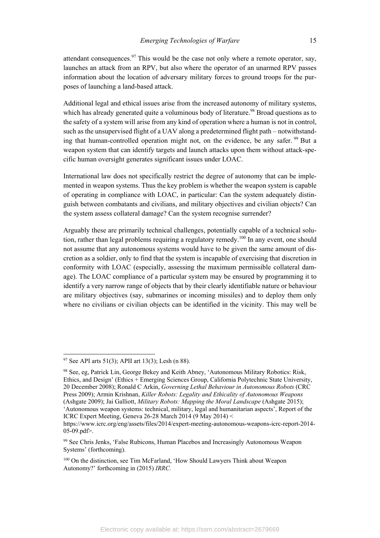attendant consequences. $97$  This would be the case not only where a remote operator, say, launches an attack from an RPV, but also where the operator of an unarmed RPV passes information about the location of adversary military forces to ground troops for the purposes of launching a land-based attack.

Additional legal and ethical issues arise from the increased autonomy of military systems, which has already generated quite a voluminous body of literature.<sup>98</sup> Broad questions as to the safety of a system will arise from any kind of operation where a human is not in control, such as the unsupervised flight of a UAV along a predetermined flight path – notwithstanding that human-controlled operation might not, on the evidence, be any safer. <sup>99</sup> But a weapon system that can identify targets and launch attacks upon them without attack-specific human oversight generates significant issues under LOAC.

International law does not specifically restrict the degree of autonomy that can be implemented in weapon systems. Thus the key problem is whether the weapon system is capable of operating in compliance with LOAC, in particular: Can the system adequately distinguish between combatants and civilians, and military objectives and civilian objects? Can the system assess collateral damage? Can the system recognise surrender?

Arguably these are primarily technical challenges, potentially capable of a technical solution, rather than legal problems requiring a regulatory remedy.<sup>100</sup> In any event, one should not assume that any autonomous systems would have to be given the same amount of discretion as a soldier, only to find that the system is incapable of exercising that discretion in conformity with LOAC (especially, assessing the maximum permissible collateral damage). The LOAC compliance of a particular system may be ensured by programming it to identify a very narrow range of objects that by their clearly identifiable nature or behaviour are military objectives (say, submarines or incoming missiles) and to deploy them only where no civilians or civilian objects can be identified in the vicinity. This may well be

 $97$  See API arts 51(3); APII art 13(3); Lesh (n 88).

<sup>98</sup> See, eg, Patrick Lin, George Bekey and Keith Abney, 'Autonomous Military Robotics: Risk, Ethics, and Design' (Ethics + Emerging Sciences Group, California Polytechnic State University, 20 December 2008); Ronald C Arkin, *Governing Lethal Behaviour in Autonomous Robots* (CRC Press 2009); Armin Krishnan, *Killer Robots: Legality and Ethicality of Autonomous Weapons* (Ashgate 2009); Jai Galliott, *Military Robots: Mapping the Moral Landscape* (Ashgate 2015); 'Autonomous weapon systems: technical, military, legal and humanitarian aspects', Report of the ICRC Expert Meeting, Geneva 26-28 March 2014 (9 May 2014) <

https://www.icrc.org/eng/assets/files/2014/expert-meeting-autonomous-weapons-icrc-report-2014- 05-09.pdf>.

<sup>&</sup>lt;sup>99</sup> See Chris Jenks, 'False Rubicons, Human Placebos and Increasingly Autonomous Weapon Systems' (forthcoming).

<sup>100</sup> On the distinction, see Tim McFarland, 'How Should Lawyers Think about Weapon Autonomy?' forthcoming in (2015) *IRRC.*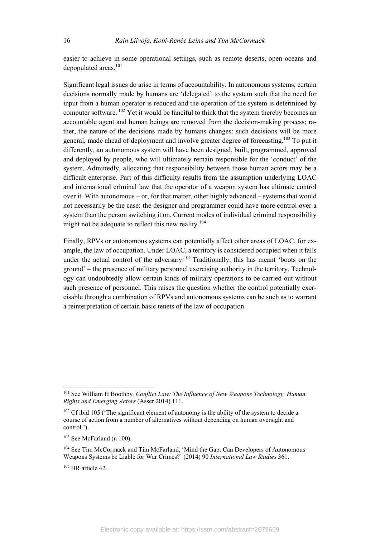easier to achieve in some operational settings, such as remote deserts, open oceans and depopulated areas.<sup>101</sup>

Significant legal issues do arise in terms of accountability. In autonomous systems, certain decisions normally made by humans are 'delegated' to the system such that the need for input from a human operator is reduced and the operation of the system is determined by computer software. 102 Yet it would be fanciful to think that the system thereby becomes an accountable agent and human beings are removed from the decision-making process; rather, the nature of the decisions made by humans changes: such decisions will be more general, made ahead of deployment and involve greater degree of forecasting.<sup>103</sup> To put it differently, an autonomous system will have been designed, built, programmed, approved and deployed by people, who will ultimately remain responsible for the 'conduct' of the system. Admittedly, allocating that responsibility between those human actors may be a difficult enterprise. Part of this difficulty results from the assumption underlying LOAC and international criminal law that the operator of a weapon system has ultimate control over it. With autonomous – or, for that matter, other highly advanced – systems that would not necessarily be the case: the designer and programmer could have more control over a system than the person switching it on. Current modes of individual criminal responsibility might not be adequate to reflect this new reality.<sup>104</sup>

Finally, RPVs or autonomous systems can potentially affect other areas of LOAC, for example, the law of occupation. Under LOAC, a territory is considered occupied when it falls under the actual control of the adversary.<sup>105</sup> Traditionally, this has meant 'boots on the ground' – the presence of military personnel exercising authority in the territory. Technology can undoubtedly allow certain kinds of military operations to be carried out without such presence of personnel. This raises the question whether the control potentially exercisable through a combination of RPVs and autonomous systems can be such as to warrant a reinterpretation of certain basic tenets of the law of occupation

 $\overline{\phantom{a}}$ 

<sup>101</sup> See William H Boothby*, Conflict Law: The Influence of New Weapons Technology, Human Rights and Emerging Actors* (Asser 2014) 111.

<sup>&</sup>lt;sup>102</sup> Cf ibid 105 ('The significant element of autonomy is the ability of the system to decide a course of action from a number of alternatives without depending on human oversight and control.').

<sup>103</sup> See McFarland (n 100).

<sup>&</sup>lt;sup>104</sup> See Tim McCormack and Tim McFarland, 'Mind the Gap: Can Developers of Autonomous Weapons Systems be Liable for War Crimes?' (2014) 90 *International Law Studies* 361.

<sup>105</sup> HR article 42.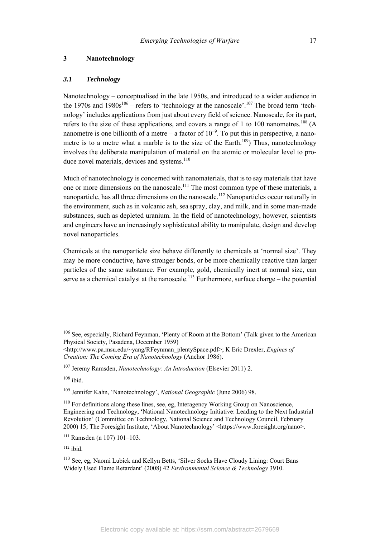#### *3.1 Technology*

Nanotechnology – conceptualised in the late 1950s, and introduced to a wider audience in the 1970s and  $1980s^{106}$  – refers to 'technology at the nanoscale'.<sup>107</sup> The broad term 'technology' includes applications from just about every field of science. Nanoscale, for its part, refers to the size of these applications, and covers a range of 1 to 100 nanometres.<sup>108</sup> (A nanometre is one billionth of a metre – a factor of  $10^{-9}$ . To put this in perspective, a nanometre is to a metre what a marble is to the size of the Earth.<sup>109</sup>) Thus, nanotechnology involves the deliberate manipulation of material on the atomic or molecular level to produce novel materials, devices and systems.<sup>110</sup>

Much of nanotechnology is concerned with nanomaterials, that is to say materials that have one or more dimensions on the nanoscale.<sup>111</sup> The most common type of these materials, a nanoparticle, has all three dimensions on the nanoscale.<sup>112</sup> Nanoparticles occur naturally in the environment, such as in volcanic ash, sea spray, clay, and milk, and in some man-made substances, such as depleted uranium. In the field of nanotechnology, however, scientists and engineers have an increasingly sophisticated ability to manipulate, design and develop novel nanoparticles.

Chemicals at the nanoparticle size behave differently to chemicals at 'normal size'. They may be more conductive, have stronger bonds, or be more chemically reactive than larger particles of the same substance. For example, gold, chemically inert at normal size, can serve as a chemical catalyst at the nanoscale.<sup>113</sup> Furthermore, surface charge – the potential

<sup>&</sup>lt;sup>106</sup> See, especially, Richard Feynman, 'Plenty of Room at the Bottom' (Talk given to the American Physical Society, Pasadena, December 1959)

<sup>&</sup>lt;http://www.pa.msu.edu/~yang/RFeynman\_plentySpace.pdf>; K Eric Drexler, *Engines of Creation: The Coming Era of Nanotechnology* (Anchor 1986).

<sup>107</sup> Jeremy Ramsden, *Nanotechnology: An Introduction* (Elsevier 2011) 2.

 $108$  ibid.

<sup>109</sup> Jennifer Kahn, 'Nanotechnology', *National Geographic* (June 2006) 98.

<sup>&</sup>lt;sup>110</sup> For definitions along these lines, see, eg, Interagency Working Group on Nanoscience, Engineering and Technology, 'National Nanotechnology Initiative: Leading to the Next Industrial Revolution' (Committee on Technology, National Science and Technology Council, February 2000) 15; The Foresight Institute, 'About Nanotechnology' <https://www.foresight.org/nano>.

 $111$  Ramsden (n 107) 101–103.

 $112$  ibid.

<sup>113</sup> See, eg, Naomi Lubick and Kellyn Betts, 'Silver Socks Have Cloudy Lining: Court Bans Widely Used Flame Retardant' (2008) 42 *Environmental Science & Technology* 3910.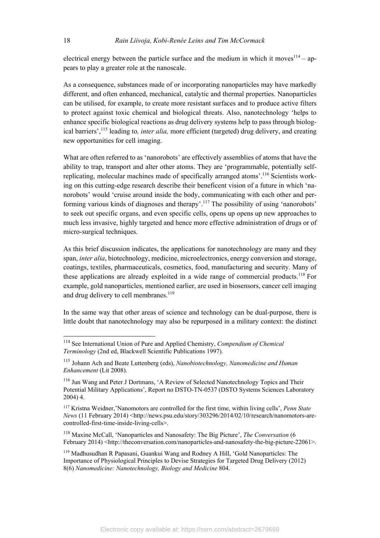electrical energy between the particle surface and the medium in which it moves  $114 - ap$ pears to play a greater role at the nanoscale.

As a consequence, substances made of or incorporating nanoparticles may have markedly different, and often enhanced, mechanical, catalytic and thermal properties. Nanoparticles can be utilised, for example, to create more resistant surfaces and to produce active filters to protect against toxic chemical and biological threats. Also, nanotechnology 'helps to enhance specific biological reactions as drug delivery systems help to pass through biological barriers',115 leading to*, inter alia,* more efficient (targeted) drug delivery, and creating new opportunities for cell imaging.

What are often referred to as 'nanorobots' are effectively assemblies of atoms that have the ability to trap, transport and alter other atoms. They are 'programmable, potentially selfreplicating, molecular machines made of specifically arranged atoms'.116 Scientists working on this cutting-edge research describe their beneficent vision of a future in which 'nanorobots' would 'cruise around inside the body, communicating with each other and performing various kinds of diagnoses and therapy'.<sup>117</sup> The possibility of using 'nanorobots' to seek out specific organs, and even specific cells, opens up opens up new approaches to much less invasive, highly targeted and hence more effective administration of drugs or of micro-surgical techniques.

As this brief discussion indicates, the applications for nanotechnology are many and they span, *inter alia*, biotechnology, medicine, microelectronics, energy conversion and storage, coatings, textiles, pharmaceuticals, cosmetics, food, manufacturing and security. Many of these applications are already exploited in a wide range of commercial products.<sup>118</sup> For example, gold nanoparticles, mentioned earlier, are used in biosensors, cancer cell imaging and drug delivery to cell membranes.<sup>119</sup>

In the same way that other areas of science and technology can be dual-purpose, there is little doubt that nanotechnology may also be repurposed in a military context: the distinct

<sup>114</sup> See International Union of Pure and Applied Chemistry, *Compendium of Chemical Terminology* (2nd ed, Blackwell Scientific Publications 1997).

<sup>115</sup> Johann Ach and Beate Luttenberg (eds), *Nanobiotechnology, Nanomedicine and Human Enhancement* (Lit 2008).

<sup>116</sup> Jun Wang and Peter J Dortmans, 'A Review of Selected Nanotechnology Topics and Their Potential Military Applications', Report no DSTO-TN-0537 (DSTO Systems Sciences Laboratory 2004) 4.

<sup>117</sup> Kristna Weidner,'Nanomotors are controlled for the first time, within living cells', *Penn State News* (11 February 2014) <http://news.psu.edu/story/303296/2014/02/10/research/nanomotors-arecontrolled-first-time-inside-living-cells>.

<sup>118</sup> Maxine McCall, 'Nanoparticles and Nanosafety: The Big Picture', *The Conversation* (6 February 2014) <http://theconversation.com/nanoparticles-and-nanosafety-the-big-picture-22061>.

<sup>119</sup> Madhusudhan R Papasani, Guankui Wang and Rodney A Hill, 'Gold Nanoparticles: The Importance of Physiological Principles to Devise Strategies for Targeted Drug Delivery (2012) 8(6) *Nanomedicine: Nanotechnology, Biology and Medicine* 804.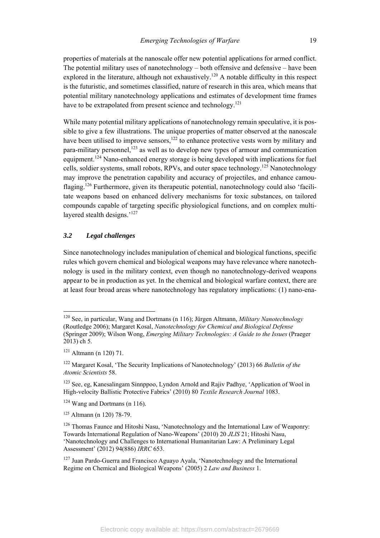properties of materials at the nanoscale offer new potential applications for armed conflict. The potential military uses of nanotechnology – both offensive and defensive – have been explored in the literature, although not exhaustively.<sup>120</sup> A notable difficulty in this respect is the futuristic, and sometimes classified, nature of research in this area, which means that potential military nanotechnology applications and estimates of development time frames have to be extrapolated from present science and technology.<sup>121</sup>

While many potential military applications of nanotechnology remain speculative, it is possible to give a few illustrations. The unique properties of matter observed at the nanoscale have been utilised to improve sensors, $122$  to enhance protective vests worn by military and para-military personnel,<sup>123</sup> as well as to develop new types of armour and communication equipment.<sup>124</sup> Nano-enhanced energy storage is being developed with implications for fuel cells, soldier systems, small robots, RPVs, and outer space technology.125 Nanotechnology may improve the penetration capability and accuracy of projectiles, and enhance camouflaging.<sup>126</sup> Furthermore, given its therapeutic potential, nanotechnology could also 'facilitate weapons based on enhanced delivery mechanisms for toxic substances, on tailored compounds capable of targeting specific physiological functions, and on complex multilayered stealth designs.'<sup>127</sup>

# *3.2 Legal challenges*

Since nanotechnology includes manipulation of chemical and biological functions, specific rules which govern chemical and biological weapons may have relevance where nanotechnology is used in the military context, even though no nanotechnology-derived weapons appear to be in production as yet. In the chemical and biological warfare context, there are at least four broad areas where nanotechnology has regulatory implications: (1) nano-ena-

<sup>120</sup> See, in particular, Wang and Dortmans (n 116); Jürgen Altmann, *Military Nanotechnology* (Routledge 2006); Margaret Kosal, *Nanotechnology for Chemical and Biological Defense* (Springer 2009); Wilson Wong, *Emerging Military Technologies: A Guide to the Issues* (Praeger 2013) ch 5.

 $121$  Altmann (n 120) 71.

<sup>122</sup> Margaret Kosal, 'The Security Implications of Nanotechnology' (2013) 66 *Bulletin of the Atomic Scientists* 58.

<sup>123</sup> See, eg, Kanesalingam Sinnppoo, Lyndon Arnold and Rajiv Padhye, 'Application of Wool in High-velocity Ballistic Protective Fabrics' (2010) 80 *Textile Research Journal* 1083.

 $124$  Wang and Dortmans (n 116).

<sup>125</sup> Altmann (n 120) 78-79.

 $126$  Thomas Faunce and Hitoshi Nasu, 'Nanotechnology and the International Law of Weaponry: Towards International Regulation of Nano-Weapons' (2010) 20 *JLIS* 21; Hitoshi Nasu, 'Nanotechnology and Challenges to International Humanitarian Law: A Preliminary Legal Assessment' (2012) 94(886) *IRRC* 653.

<sup>127</sup> Juan Pardo-Guerra and Francisco Aguayo Ayala, 'Nanotechnology and the International Regime on Chemical and Biological Weapons' (2005) 2 *Law and Business* 1.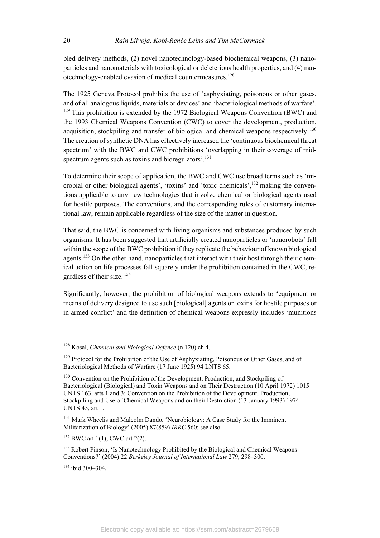bled delivery methods, (2) novel nanotechnology-based biochemical weapons, (3) nanoparticles and nanomaterials with toxicological or deleterious health properties, and (4) nanotechnology-enabled evasion of medical countermeasures.<sup>128</sup>

The 1925 Geneva Protocol prohibits the use of 'asphyxiating, poisonous or other gases, and of all analogous liquids, materials or devices' and 'bacteriological methods of warfare'.  $129$  This prohibition is extended by the 1972 Biological Weapons Convention (BWC) and the 1993 Chemical Weapons Convention (CWC) to cover the development, production, acquisition, stockpiling and transfer of biological and chemical weapons respectively.<sup>130</sup> The creation of synthetic DNA has effectively increased the 'continuous biochemical threat spectrum' with the BWC and CWC prohibitions 'overlapping in their coverage of midspectrum agents such as toxins and bioregulators'.<sup>131</sup>

To determine their scope of application, the BWC and CWC use broad terms such as 'microbial or other biological agents', 'toxins' and 'toxic chemicals',132 making the conventions applicable to any new technologies that involve chemical or biological agents used for hostile purposes. The conventions, and the corresponding rules of customary international law, remain applicable regardless of the size of the matter in question.

That said, the BWC is concerned with living organisms and substances produced by such organisms. It has been suggested that artificially created nanoparticles or 'nanorobots' fall within the scope of the BWC prohibition if they replicate the behaviour of known biological agents.<sup>133</sup> On the other hand, nanoparticles that interact with their host through their chemical action on life processes fall squarely under the prohibition contained in the CWC, regardless of their size.<sup>134</sup>

Significantly, however, the prohibition of biological weapons extends to 'equipment or means of delivery designed to use such [biological] agents or toxins for hostile purposes or in armed conflict' and the definition of chemical weapons expressly includes 'munitions

<sup>128</sup> Kosal, *Chemical and Biological Defence* (n 120) ch 4.

<sup>&</sup>lt;sup>129</sup> Protocol for the Prohibition of the Use of Asphyxiating, Poisonous or Other Gases, and of Bacteriological Methods of Warfare (17 June 1925) 94 LNTS 65.

<sup>&</sup>lt;sup>130</sup> Convention on the Prohibition of the Development, Production, and Stockpiling of Bacteriological (Biological) and Toxin Weapons and on Their Destruction (10 April 1972) 1015 UNTS 163, arts 1 and 3; Convention on the Prohibition of the Development, Production, Stockpiling and Use of Chemical Weapons and on their Destruction (13 January 1993) 1974 UNTS 45, art 1.

<sup>&</sup>lt;sup>131</sup> Mark Wheelis and Malcolm Dando, 'Neurobiology: A Case Study for the Imminent Militarization of Biology' (2005) 87(859) *IRRC* 560; see also

 $132$  BWC art 1(1); CWC art 2(2).

<sup>&</sup>lt;sup>133</sup> Robert Pinson, 'Is Nanotechnology Prohibited by the Biological and Chemical Weapons Conventions?' (2004) 22 *Berkeley Journal of International Law* 279, 298–300.

<sup>134</sup> ibid 300–304.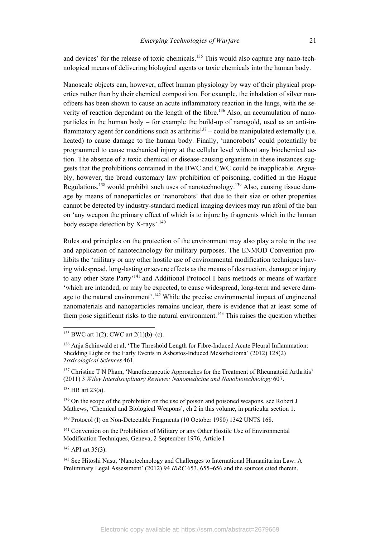and devices' for the release of toxic chemicals.<sup>135</sup> This would also capture any nano-technological means of delivering biological agents or toxic chemicals into the human body.

Nanoscale objects can, however, affect human physiology by way of their physical properties rather than by their chemical composition. For example, the inhalation of silver nanofibers has been shown to cause an acute inflammatory reaction in the lungs, with the severity of reaction dependant on the length of the fibre.<sup>136</sup> Also, an accumulation of nanoparticles in the human body – for example the build-up of nanogold, used as an anti-inflammatory agent for conditions such as arthritis<sup>137</sup> – could be manipulated externally (i.e. heated) to cause damage to the human body. Finally, 'nanorobots' could potentially be programmed to cause mechanical injury at the cellular level without any biochemical action. The absence of a toxic chemical or disease-causing organism in these instances suggests that the prohibitions contained in the BWC and CWC could be inapplicable. Arguably, however, the broad customary law prohibition of poisoning, codified in the Hague Regulations,<sup>138</sup> would prohibit such uses of nanotechnology.<sup>139</sup> Also, causing tissue damage by means of nanoparticles or 'nanorobots' that due to their size or other properties cannot be detected by industry-standard medical imaging devices may run afoul of the ban on 'any weapon the primary effect of which is to injure by fragments which in the human body escape detection by X-rays'.<sup>140</sup>

Rules and principles on the protection of the environment may also play a role in the use and application of nanotechnology for military purposes. The ENMOD Convention prohibits the 'military or any other hostile use of environmental modification techniques having widespread, long-lasting or severe effects as the means of destruction, damage or injury to any other State Party<sup>'141</sup> and Additional Protocol I bans methods or means of warfare 'which are intended, or may be expected, to cause widespread, long-term and severe damage to the natural environment'.<sup>142</sup> While the precise environmental impact of engineered nanomaterials and nanoparticles remains unclear, there is evidence that at least some of them pose significant risks to the natural environment.<sup>143</sup> This raises the question whether

138 HR art 23(a).

 $\overline{\phantom{a}}$ 

<sup>139</sup> On the scope of the prohibition on the use of poison and poisoned weapons, see Robert J Mathews, 'Chemical and Biological Weapons', ch 2 in this volume, in particular section 1.

<sup>140</sup> Protocol (I) on Non-Detectable Fragments (10 October 1980) 1342 UNTS 168.

<sup>141</sup> Convention on the Prohibition of Military or any Other Hostile Use of Environmental Modification Techniques, Geneva, 2 September 1976, Article I

 $142$  API art 35(3).

<sup>&</sup>lt;sup>135</sup> BWC art 1(2); CWC art 2(1)(b)–(c).

<sup>136</sup> Anja Schinwald et al, 'The Threshold Length for Fibre-Induced Acute Pleural Inflammation: Shedding Light on the Early Events in Asbestos-Induced Mesothelioma' (2012) 128(2) *Toxicological Sciences* 461.

<sup>&</sup>lt;sup>137</sup> Christine T N Pham, 'Nanotherapeutic Approaches for the Treatment of Rheumatoid Arthritis' (2011) 3 *Wiley Interdisciplinary Reviews: Nanomedicine and Nanobiotechnology* 607.

<sup>&</sup>lt;sup>143</sup> See Hitoshi Nasu, 'Nanotechnology and Challenges to International Humanitarian Law: A Preliminary Legal Assessment' (2012) 94 *IRRC* 653, 655–656 and the sources cited therein.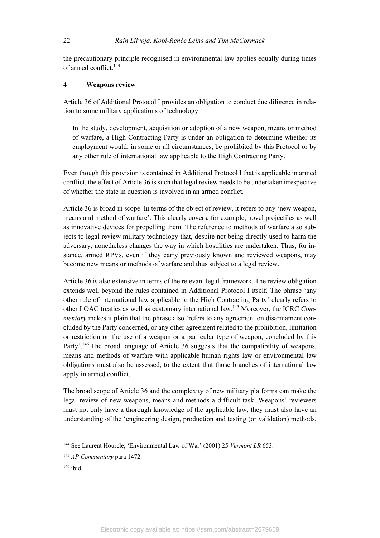the precautionary principle recognised in environmental law applies equally during times of armed conflict.144

### **4 Weapons review**

Article 36 of Additional Protocol I provides an obligation to conduct due diligence in relation to some military applications of technology:

In the study, development, acquisition or adoption of a new weapon, means or method of warfare, a High Contracting Party is under an obligation to determine whether its employment would, in some or all circumstances, be prohibited by this Protocol or by any other rule of international law applicable to the High Contracting Party.

Even though this provision is contained in Additional Protocol I that is applicable in armed conflict, the effect of Article 36 is such that legal review needs to be undertaken irrespective of whether the state in question is involved in an armed conflict.

Article 36 is broad in scope. In terms of the object of review, it refers to any 'new weapon, means and method of warfare'. This clearly covers, for example, novel projectiles as well as innovative devices for propelling them. The reference to methods of warfare also subjects to legal review military technology that, despite not being directly used to harm the adversary, nonetheless changes the way in which hostilities are undertaken. Thus, for instance, armed RPVs, even if they carry previously known and reviewed weapons, may become new means or methods of warfare and thus subject to a legal review.

Article 36 is also extensive in terms of the relevant legal framework. The review obligation extends well beyond the rules contained in Additional Protocol I itself. The phrase 'any other rule of international law applicable to the High Contracting Party' clearly refers to other LOAC treaties as well as customary international law.145 Moreover, the ICRC *Commentary* makes it plain that the phrase also 'refers to any agreement on disarmament concluded by the Party concerned, or any other agreement related to the prohibition, limitation or restriction on the use of a weapon or a particular type of weapon, concluded by this Party'.<sup>146</sup> The broad language of Article 36 suggests that the compatibility of weapons, means and methods of warfare with applicable human rights law or environmental law obligations must also be assessed, to the extent that those branches of international law apply in armed conflict.

The broad scope of Article 36 and the complexity of new military platforms can make the legal review of new weapons, means and methods a difficult task. Weapons' reviewers must not only have a thorough knowledge of the applicable law, they must also have an understanding of the 'engineering design, production and testing (or validation) methods,

 $\overline{\phantom{a}}$ 

<sup>&</sup>lt;sup>144</sup> See Laurent Hourcle, 'Environmental Law of War' (2001) 25 *Vermont LR* 653.

<sup>145</sup> *AP Commentary* para 1472.

<sup>146</sup> ibid.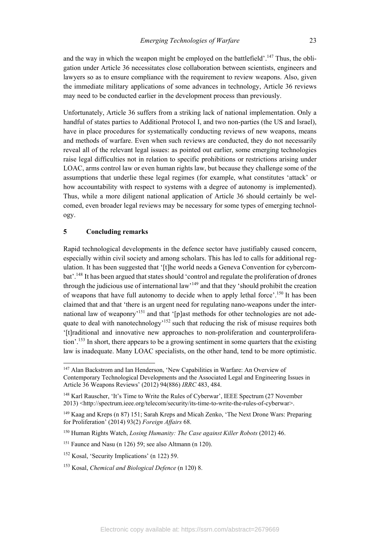and the way in which the weapon might be employed on the battlefield'.<sup>147</sup> Thus, the obligation under Article 36 necessitates close collaboration between scientists, engineers and lawyers so as to ensure compliance with the requirement to review weapons. Also, given the immediate military applications of some advances in technology, Article 36 reviews may need to be conducted earlier in the development process than previously.

Unfortunately, Article 36 suffers from a striking lack of national implementation. Only a handful of states parties to Additional Protocol I, and two non-parties (the US and Israel), have in place procedures for systematically conducting reviews of new weapons, means and methods of warfare. Even when such reviews are conducted, they do not necessarily reveal all of the relevant legal issues: as pointed out earlier, some emerging technologies raise legal difficulties not in relation to specific prohibitions or restrictions arising under LOAC, arms control law or even human rights law, but because they challenge some of the assumptions that underlie these legal regimes (for example, what constitutes 'attack' or how accountability with respect to systems with a degree of autonomy is implemented). Thus, while a more diligent national application of Article 36 should certainly be welcomed, even broader legal reviews may be necessary for some types of emerging technology.

#### **5 Concluding remarks**

l

Rapid technological developments in the defence sector have justifiably caused concern, especially within civil society and among scholars. This has led to calls for additional regulation. It has been suggested that '[t]he world needs a Geneva Convention for cybercombat'.148 It has been argued that states should 'control and regulate the proliferation of drones through the judicious use of international law<sup>149</sup> and that they 'should prohibit the creation of weapons that have full autonomy to decide when to apply lethal force'.<sup>150</sup> It has been claimed that and that 'there is an urgent need for regulating nano-weapons under the international law of weaponry<sup>151</sup> and that '[p]ast methods for other technologies are not adequate to deal with nanotechnology<sup> $152$ </sup> such that reducing the risk of misuse requires both '[t]raditional and innovative new approaches to non-proliferation and counterproliferation'.<sup>153</sup> In short, there appears to be a growing sentiment in some quarters that the existing law is inadequate. Many LOAC specialists, on the other hand, tend to be more optimistic.

<sup>147</sup> Alan Backstrom and Ian Henderson, 'New Capabilities in Warfare: An Overview of Contemporary Technological Developments and the Associated Legal and Engineering Issues in Article 36 Weapons Reviews' (2012) 94(886) *IRRC* 483, 484.

<sup>&</sup>lt;sup>148</sup> Karl Rauscher, 'It's Time to Write the Rules of Cyberwar', IEEE Spectrum (27 November 2013) <http://spectrum.ieee.org/telecom/security/its-time-to-write-the-rules-of-cyberwar>.

<sup>149</sup> Kaag and Kreps (n 87) 151; Sarah Kreps and Micah Zenko, 'The Next Drone Wars: Preparing for Proliferation' (2014) 93(2) *Foreign Affairs* 68.

<sup>150</sup> Human Rights Watch, *Losing Humanity: The Case against Killer Robots* (2012) 46.

<sup>&</sup>lt;sup>151</sup> Faunce and Nasu (n 126) 59; see also Altmann (n 120).

<sup>152</sup> Kosal, 'Security Implications' (n 122) 59.

<sup>153</sup> Kosal, *Chemical and Biological Defence* (n 120) 8.